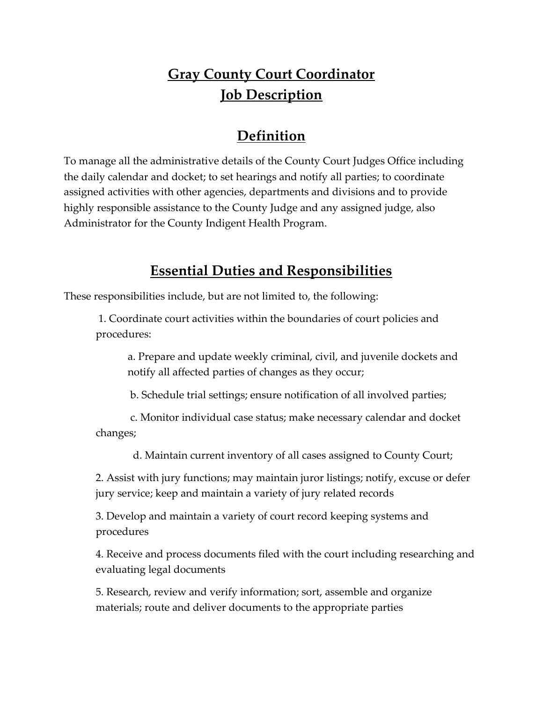# **Gray County Court Coordinator Job Description**

## **Definition**

To manage all the administrative details of the County Court Judges Office including the daily calendar and docket; to set hearings and notify all parties; to coordinate assigned activities with other agencies, departments and divisions and to provide highly responsible assistance to the County Judge and any assigned judge, also Administrator for the County Indigent Health Program.

#### **Essential Duties and Responsibilities**

These responsibilities include, but are not limited to, the following:

1. Coordinate court activities within the boundaries of court policies and procedures:

a. Prepare and update weekly criminal, civil, and juvenile dockets and notify all affected parties of changes as they occur;

b. Schedule trial settings; ensure notification of all involved parties;

 c. Monitor individual case status; make necessary calendar and docket changes;

d. Maintain current inventory of all cases assigned to County Court;

2. Assist with jury functions; may maintain juror listings; notify, excuse or defer jury service; keep and maintain a variety of jury related records

3. Develop and maintain a variety of court record keeping systems and procedures

4. Receive and process documents filed with the court including researching and evaluating legal documents

5. Research, review and verify information; sort, assemble and organize materials; route and deliver documents to the appropriate parties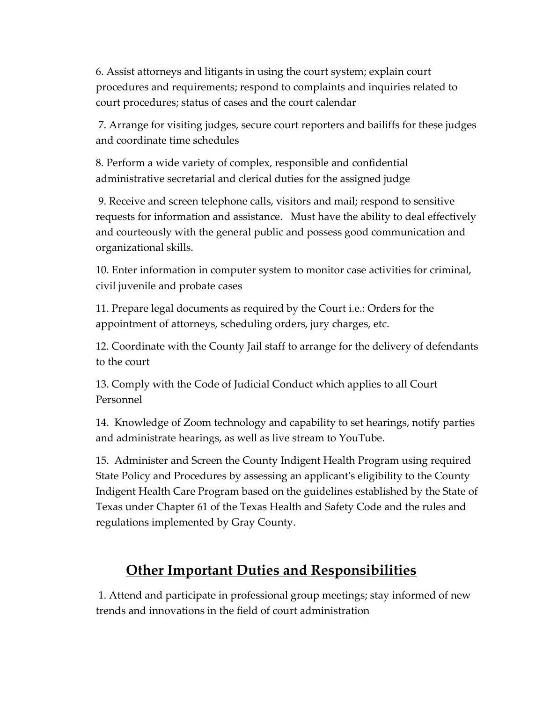6. Assist attorneys and litigants in using the court system; explain court procedures and requirements; respond to complaints and inquiries related to court procedures; status of cases and the court calendar

7. Arrange for visiting judges, secure court reporters and bailiffs for these judges and coordinate time schedules

8. Perform a wide variety of complex, responsible and confidential administrative secretarial and clerical duties for the assigned judge

9. Receive and screen telephone calls, visitors and mail; respond to sensitive requests for information and assistance. Must have the ability to deal effectively and courteously with the general public and possess good communication and organizational skills.

10. Enter information in computer system to monitor case activities for criminal, civil juvenile and probate cases

11. Prepare legal documents as required by the Court i.e.: Orders for the appointment of attorneys, scheduling orders, jury charges, etc.

12. Coordinate with the County Jail staff to arrange for the delivery of defendants to the court

13. Comply with the Code of Judicial Conduct which applies to all Court Personnel

14. Knowledge of Zoom technology and capability to set hearings, notify parties and administrate hearings, as well as live stream to YouTube.

15. Administer and Screen the County Indigent Health Program using required State Policy and Procedures by assessing an applicant's eligibility to the County Indigent Health Care Program based on the guidelines established by the State of Texas under Chapter 61 of the Texas Health and Safety Code and the rules and regulations implemented by Gray County.

## **Other Important Duties and Responsibilities**

1. Attend and participate in professional group meetings; stay informed of new trends and innovations in the field of court administration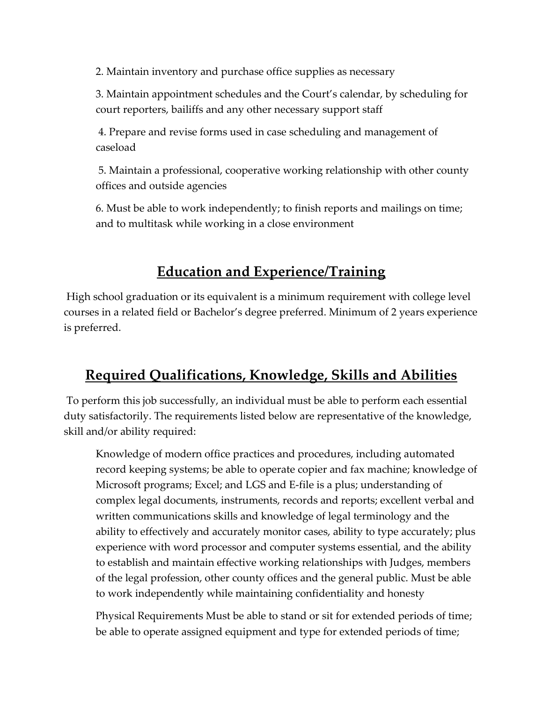2. Maintain inventory and purchase office supplies as necessary

3. Maintain appointment schedules and the Court's calendar, by scheduling for court reporters, bailiffs and any other necessary support staff

4. Prepare and revise forms used in case scheduling and management of caseload

5. Maintain a professional, cooperative working relationship with other county offices and outside agencies

6. Must be able to work independently; to finish reports and mailings on time; and to multitask while working in a close environment

## **Education and Experience/Training**

High school graduation or its equivalent is a minimum requirement with college level courses in a related field or Bachelor's degree preferred. Minimum of 2 years experience is preferred.

## **Required Qualifications, Knowledge, Skills and Abilities**

To perform this job successfully, an individual must be able to perform each essential duty satisfactorily. The requirements listed below are representative of the knowledge, skill and/or ability required:

Knowledge of modern office practices and procedures, including automated record keeping systems; be able to operate copier and fax machine; knowledge of Microsoft programs; Excel; and LGS and E-file is a plus; understanding of complex legal documents, instruments, records and reports; excellent verbal and written communications skills and knowledge of legal terminology and the ability to effectively and accurately monitor cases, ability to type accurately; plus experience with word processor and computer systems essential, and the ability to establish and maintain effective working relationships with Judges, members of the legal profession, other county offices and the general public. Must be able to work independently while maintaining confidentiality and honesty

Physical Requirements Must be able to stand or sit for extended periods of time; be able to operate assigned equipment and type for extended periods of time;